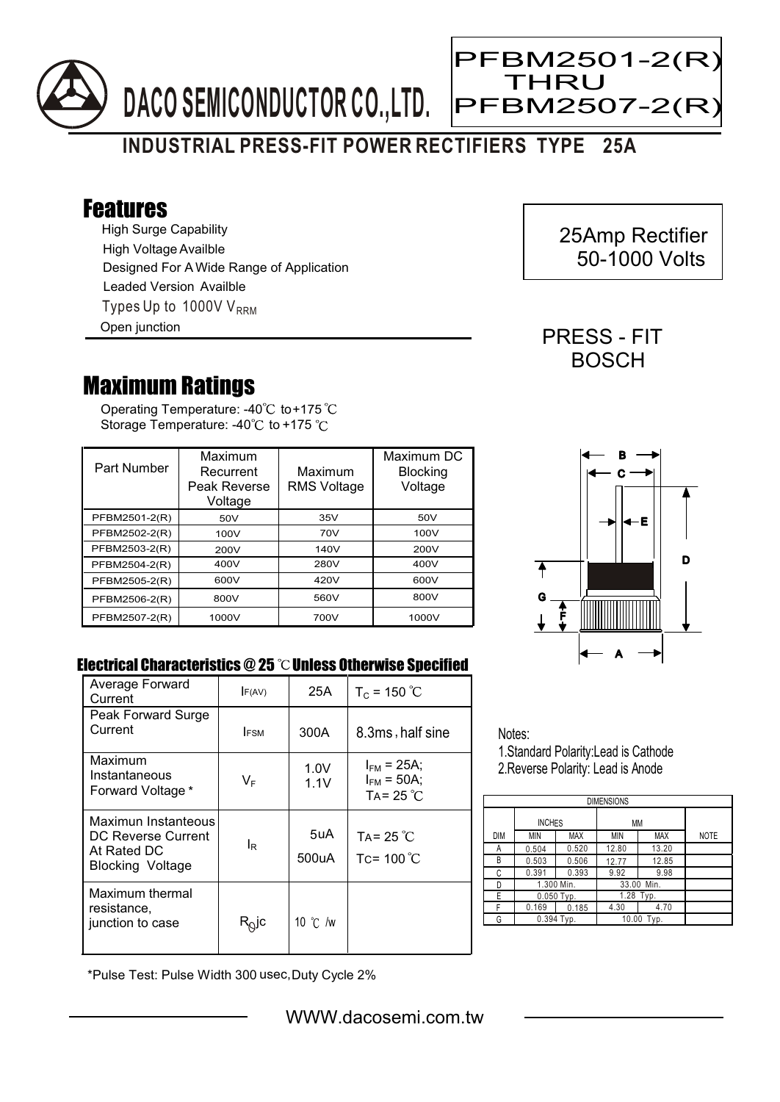

## **INDUSTRIAL PRESS-FIT POWER RECTIFIERS TYPE 25A**

## Features

High Surge Capability Types Up to 1000V  $V_{\text{RRM}}$ High Voltage Availble Designed For A Wide Range of Application Leaded Version Availble Open junction

## Maximum Ratings

Operating Temperature: -40 $^{\circ}$ C to+175 Storage Temperature: -40 $\degree$ C to +175  $\degree$ C

| Part Number   | Maximum<br>Recurrent<br>Peak Reverse<br>Voltage | Maximum<br><b>RMS Voltage</b> | Maximum DC<br><b>Blocking</b><br>Voltage |
|---------------|-------------------------------------------------|-------------------------------|------------------------------------------|
| PFBM2501-2(R) | 50V                                             | 35V                           | 50V                                      |
| PFBM2502-2(R) | 100V                                            | 70V                           | 100V                                     |
| PFBM2503-2(R) | 200V                                            | 140V                          | 200V                                     |
| PFBM2504-2(R) | 400V                                            | 280V                          | 400V                                     |
| PFBM2505-2(R) | 600V                                            | 420V                          | 600V                                     |
| PFBM2506-2(R) | 800V                                            | 560V                          | 800V                                     |
| PFBM2507-2(R) | 1000V                                           | 700V                          | 1000V                                    |



## Electrical Characteristics  $@25$   $^{\circ}\text{C}$  Unless Otherwise Specified

| Average Forward<br>Current                                                          | F(AV)          | 25A               | $T_c = 150 °C$                                            |
|-------------------------------------------------------------------------------------|----------------|-------------------|-----------------------------------------------------------|
| Peak Forward Surge<br>Current                                                       | <b>IFSM</b>    | 300A              | 8.3ms, half sine                                          |
| Maximum<br>Instantaneous<br>Forward Voltage *                                       | VF             | 1.0V<br>1.1V      | $I_{FM}$ = 25A;<br>$I_{FM}$ = 50A;<br>TA= 25 $^{\circ}$ C |
| Maximun Instanteous<br>DC Reverse Current<br>At Rated DC<br><b>Blocking Voltage</b> | l <sub>R</sub> | 5uA<br>500uA      | TA= 25 $\degree$ C<br>Tc= $100^{\circ}$ C                 |
| Maximum thermal<br>resistance.<br>junction to case                                  | $R_Q$ jc       | 10 $\degree$ C /w |                                                           |

Notes:

1.Standard Polarity:Lead is Cathode 2.Reverse Polarity: Lead is Anode

| <b>DIMENSIONS</b> |               |            |            |            |             |  |  |  |
|-------------------|---------------|------------|------------|------------|-------------|--|--|--|
|                   | <b>INCHES</b> |            | МM         |            |             |  |  |  |
| <b>DIM</b>        | MIN           | <b>MAX</b> | ΜIΝ        | <b>MAX</b> | <b>NOTE</b> |  |  |  |
| А                 | 0.504         | 0.520      | 12.80      | 13.20      |             |  |  |  |
| В                 | 0.503         | 0.506      | 12.77      | 12.85      |             |  |  |  |
| C                 | 0.391         | 0.393      | 9.92       | 9.98       |             |  |  |  |
| D                 | 1.300 Min.    |            | 33.00 Min. |            |             |  |  |  |
| E                 | $0.050$ Typ.  |            | 1.28 Typ.  |            |             |  |  |  |
| F                 | 0.169         | 0.185      | 4.30       | 4.70       |             |  |  |  |
| G                 | $0.394$ Typ.  |            | 10.00 Typ. |            |             |  |  |  |

\*Pulse Test: Pulse Width 300 usec,Duty Cycle 2%

 25Amp Rectifier 50-1000 Volts

PRESS - FIT **BOSCH** 



Ξ